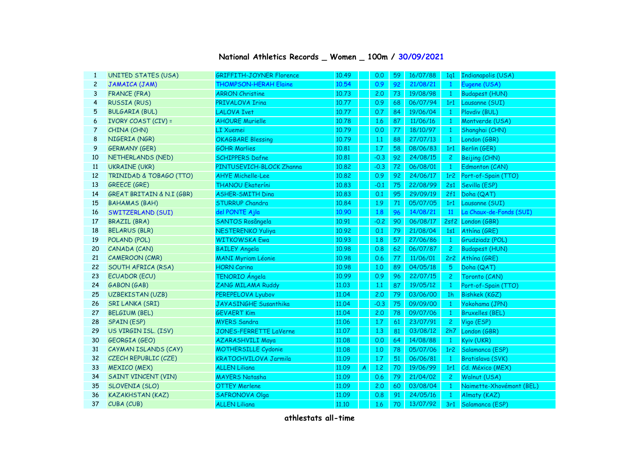## **National Athletics Records \_ Women \_ 100m / 30/09/2021**

| $\mathbf{1}$   | <b>UNITED STATES (USA)</b>           | <b>GRIFFITH-JOYNER Florence</b> | 10.49 |                | 0.0    | 59 | 16/07/88 | 1q1             | Indianapolis (USA)       |
|----------------|--------------------------------------|---------------------------------|-------|----------------|--------|----|----------|-----------------|--------------------------|
| $\overline{c}$ | JAMAICA (JAM)                        | THOMPSON-HERAH Elaine           | 10.54 |                | 0.9    | 92 | 21/08/21 | $\mathbf{1}$    | Eugene (USA)             |
| 3              | <b>FRANCE (FRA)</b>                  | <b>ARRON Christine</b>          | 10.73 |                | 2.0    | 73 | 19/08/98 | $\mathbf{1}$    | <b>Budapest (HUN)</b>    |
| 4              | <b>RUSSIA (RUS)</b>                  | PRIVALOVA Irina                 | 10.77 |                | 0.9    | 68 | 06/07/94 | 1r1             | Lausanne (SUI)           |
| 5              | <b>BULGARIA (BUL)</b>                | <b>LALOVA Ivet</b>              | 10.77 |                | 0.7    | 84 | 19/06/04 | $\mathbf{1}$    | Plovdiv (BUL)            |
| 6              | <b>IVORY COAST (CIV) =</b>           | <b>AHOURE Murielle</b>          | 10.78 |                | 1.6    | 87 | 11/06/16 | $\mathbf{1}$    | Montverde (USA)          |
| 7              | CHINA (CHN)                          | <b>LT Xuemei</b>                | 10.79 |                | 0.0    | 77 | 18/10/97 | $\mathbf{1}$    | Shanghai (CHN)           |
| 8              | NIGERIA (NGR)                        | <b>OKAGBARE Blessing</b>        | 10.79 |                | 1.1    | 88 | 27/07/13 | $\mathbf{1}$    | London (GBR)             |
| 9              | <b>GERMANY (GER)</b>                 | <b>GÖHR Marlies</b>             | 10.81 |                | 1.7    | 58 | 08/06/83 | 1r1             | Berlin (GER)             |
| 10             | NETHERLANDS (NED)                    | <b>SCHIPPERS Dafne</b>          | 10.81 |                | $-0.3$ | 92 | 24/08/15 | $\mathbf{2}$    | Beijing (CHN)            |
| 11             | <b>UKRAINE (UKR)</b>                 | PINTUSEVICH-BLOCK Zhanna        | 10.82 |                | $-0.3$ | 72 | 06/08/01 | $\mathbf{1}$    | Edmonton (CAN)           |
| 12             | TRINIDAD & TOBAGO (TTO)              | <b>AHYE Michelle-Lee</b>        | 10.82 |                | 0.9    | 92 | 24/06/17 | 1r <sub>2</sub> | Port-of-Spain (TTO)      |
| 13             | <b>GREECE (GRE)</b>                  | <b>THANOU Ekateríni</b>         | 10.83 |                | $-0.1$ | 75 | 22/08/99 | 2s1             | Sevilla (ESP)            |
| 14             | <b>GREAT BRITAIN &amp; N.I (GBR)</b> | <b>ASHER-SMITH Dina</b>         | 10.83 |                | 0.1    | 95 | 29/09/19 | 2f1             | Doha (QAT)               |
| 15             | <b>BAHAMAS (BAH)</b>                 | <b>STURRUP Chandra</b>          | 10.84 |                | 1.9    | 71 | 05/07/05 | 1r1             | Lausanne (SUI)           |
| 16             | SWITZERLAND (SUI)                    | del PONTE Ajla                  | 10.90 |                | 1.8    | 96 | 14/08/21 | 11              | La Chaux-de-Fonds (SUI)  |
| 17             | <b>BRAZIL (BRA)</b>                  | SANTOS Rosângela                | 10.91 |                | $-0.2$ | 90 | 06/08/17 |                 | 2sf2 London (GBR)        |
| 18             | <b>BELARUS (BLR)</b>                 | <b>NESTERENKO Yuliya</b>        | 10.92 |                | 0.1    | 79 | 21/08/04 |                 | 1s1 Athina (GRE)         |
| 19             | POLAND (POL)                         | <b>WITKOWSKA Ewa</b>            | 10.93 |                | 1.8    | 57 | 27/06/86 | $\mathbf{1}$    | Grudziadz (POL)          |
| 20             | CANADA (CAN)                         | <b>BAILEY Angela</b>            | 10.98 |                | 0.8    | 62 | 06/07/87 | $\overline{2}$  | <b>Budapest (HUN)</b>    |
| 21             | <b>CAMEROON (CMR)</b>                | <b>MANI Myriam Léonie</b>       | 10.98 |                | 0.6    | 77 | 11/06/01 |                 | 2r2 Athína (GRE)         |
| 22             | SOUTH AFRICA (RSA)                   | <b>HORN Carina</b>              | 10.98 |                | 1.0    | 89 | 04/05/18 | 5               | Doha (QAT)               |
| 23             | <b>ECUADOR (ECU)</b>                 | TENORIO Ángela                  | 10.99 |                | 0.9    | 96 | 22/07/15 | $\mathbf{2}$    | Toronto (CAN)            |
| 24             | GABON (GAB)                          | ZANG MILAMA Ruddy               | 11.03 |                | 1.1    | 87 | 19/05/12 | -1              | Port-of-Spain (TTO)      |
| 25             | <b>UZBEKISTAN (UZB)</b>              | PEREPELOVA Lyubov               | 11.04 |                | 2,0    | 79 | 03/06/00 | 1 <sub>h</sub>  | Bishkek (KGZ)            |
| 26             | <b>SRI LANKA (SRI)</b>               | JAYASINGHE Susanthika           | 11.04 |                | $-0.3$ | 75 | 09/09/00 | $\mathbf{1}$    | Yokohama (JPN)           |
| 27             | <b>BELGIUM (BEL)</b>                 | <b>GEVAERT Kim</b>              | 11.04 |                | 2,0    | 78 | 09/07/06 | $\mathbf{1}$    | <b>Bruxelles (BEL)</b>   |
| 28             | <b>SPAIN (ESP)</b>                   | <b>MYERS Sandra</b>             | 11,06 |                | 1.7    | 61 | 23/07/91 | $\mathbf{2}$    | Vigo (ESP)               |
| 29             | US VIRGIN ISL. (ISV)                 | JONES-FERRETTE LaVerne          | 11.07 |                | 1.3    | 81 | 03/08/12 |                 | 2h7 London (GBR)         |
| 30             | <b>GEORGIA (GEO)</b>                 | <b>AZARASHVILI Maya</b>         | 11.08 |                | 0.0    | 64 | 14/08/88 | $\mathbf{1}$    | Kyiv (UKR)               |
| 31             | CAYMAN ISLANDS (CAY)                 | <b>MOTHERSILLE Cydonie</b>      | 11.08 |                | 1.0    | 78 | 05/07/06 | 1r <sub>2</sub> | Salamanca (ESP)          |
| 32             | CZECH REPUBLIC (CZE)                 | <b>KRATOCHVILOVA Jarmila</b>    | 11.09 |                | 1.7    | 51 | 06/06/81 | $\mathbf{1}$    | Bratislava (SVK)         |
| 33             | <b>MEXICO (MEX)</b>                  | <b>ALLEN Liliana</b>            | 11.09 | $\overline{A}$ | 1,2    | 70 | 19/06/99 | 1r1             | Cd. México (MEX)         |
| 34             | <b>SAINT VINCENT (VIN)</b>           | <b>MAYERS Natasha</b>           | 11.09 |                | 0.6    | 79 | 21/04/02 | $\mathbf{2}$    | Walnut (USA)             |
| 35             | <b>SLOVENIA (SLO)</b>                | <b>OTTEY Merlene</b>            | 11.09 |                | 2.0    | 60 | 03/08/04 | $\mathbf{1}$    | Naimette-Xhovémont (BEL) |
| 36             | <b>KAZAKHSTAN (KAZ)</b>              | <b>SAFRONOVA Olga</b>           | 11.09 |                | 0.8    | 91 | 24/05/16 | $\mathbf{1}$    | Almaty (KAZ)             |
| 37             | CUBA (CUB)                           | <b>ALLEN Liliana</b>            | 11.10 |                | 1.6    | 70 | 13/07/92 | 3r1             | Salamanca (ESP)          |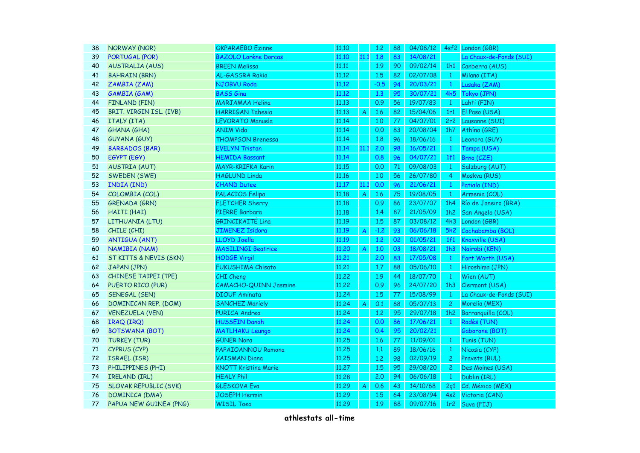| 38 | NORWAY (NOR)                 | <b>OKPARAEBO Ezinne</b>      | 11.10 |                  | 1,2    | 88 | 04/08/12 |                 | 4sf2 London (GBR)       |
|----|------------------------------|------------------------------|-------|------------------|--------|----|----------|-----------------|-------------------------|
| 39 | <b>PORTUGAL (POR)</b>        | <b>BAZOLO Lorène Dorcas</b>  | 11,10 | 11.1             | 1.8    | 83 | 14/08/21 |                 | La Chaux-de-Fonds (SUI) |
| 40 | <b>AUSTRALIA (AUS)</b>       | <b>BREEN Melissa</b>         | 11.11 |                  | 1.9    | 90 | 09/02/14 |                 | 1h1 Canberra (AUS)      |
| 41 | <b>BAHRAIN (BRN)</b>         | AL-GASSRA Rakia              | 11.12 |                  | 1.5    | 82 | 02/07/08 | $\mathbf{1}$    | Milano (ITA)            |
| 42 | ZAMBIA (ZAM)                 | NJOBVU Roda                  | 11.12 |                  | $-0.5$ | 94 | 20/03/21 | $\mathbf{1}$    | Lusaka (ZAM)            |
| 43 | <b>GAMBIA (GAM)</b>          | <b>BASS Gina</b>             | 11.12 |                  | 1.3    | 95 | 30/07/21 | 4h5             | Tokyo (JPN)             |
| 44 | <b>FINLAND (FIN)</b>         | <b>MARJAMAA Helina</b>       | 11.13 |                  | 0.9    | 56 | 19/07/83 | $\mathbf{1}$    | Lahti (FIN)             |
| 45 | BRIT. VIRGIN ISL. (IVB)      | <b>HARRIGAN Tahesia</b>      | 11.13 | $\boldsymbol{A}$ | 1.6    | 82 | 15/04/06 | 1r1             | El Paso (USA)           |
| 46 | ITALY (ITA)                  | LEVORATO Manuela             | 11.14 |                  | 1,0    | 77 | 04/07/01 | 2r <sub>2</sub> | Lausanne (SUI)          |
| 47 | <b>GHANA (GHA)</b>           | <b>ANIM Vida</b>             | 11.14 |                  | 0.0    | 83 | 20/08/04 | 1h7             | Athína (GRE)            |
| 48 | <b>GUYANA (GUY)</b>          | <b>THOMPSON Brenessa</b>     | 11.14 |                  | 1.8    | 96 | 18/06/16 | $\mathbf{1}$    | Leonora (GUY)           |
| 49 | <b>BARBADOS (BAR)</b>        | <b>EVELYN Tristan</b>        | 11.14 | 11.1             | 2.0    | 98 | 16/05/21 | $\mathbf{1}$    | Tampa (USA)             |
| 50 | EGYPT (EGY)                  | <b>HEMIDA Bassant</b>        | 11.14 |                  | 0.8    | 96 | 04/07/21 | 1f1             | Brno (CZE)              |
| 51 | <b>AUSTRIA (AUT)</b>         | MAYR-KRIFKA Karin            | 11.15 |                  | 0.0    | 71 | 09/08/03 | $\mathbf{1}$    | Salzburg (AUT)          |
| 52 | SWEDEN (SWE)                 | <b>HAGLUND Linda</b>         | 11.16 |                  | 1.0    | 56 | 26/07/80 | $\overline{4}$  | Moskva (RUS)            |
| 53 | <b>INDIA (IND)</b>           | <b>CHAND Dutee</b>           | 11.17 | 11.3             | 0.0    | 96 | 21/06/21 | $\mathbf{1}$    | Patiala (IND)           |
| 54 | COLOMBIA (COL)               | PALACIOS Felipa              | 11.18 | $\boldsymbol{A}$ | 1.6    | 75 | 19/08/05 | $\mathbf{1}$    | Armenia (COL)           |
| 55 | <b>GRENADA (GRN)</b>         | <b>FLETCHER Sherry</b>       | 11.18 |                  | 0.9    | 86 | 23/07/07 | 1h4             | Río de Janeiro (BRA)    |
| 56 | HAITI (HAI)                  | PIERRE Barbara               | 11.18 |                  | 1.4    | 87 | 21/05/09 | 1h2             | San Angelo (USA)        |
| 57 | LITHUANIA (LTU)              | GRINCIKAITÉ Lina             | 11.19 |                  | 1.5    | 87 | 03/08/12 | 4h3             | London (GBR)            |
| 58 | CHILE (CHI)                  | <b>JIMENEZ Isidora</b>       | 11.19 | $\boldsymbol{A}$ | $-1.2$ | 93 | 06/06/18 | 5h2             | Cochabamba (BOL)        |
| 59 | <b>ANTIGUA (ANT)</b>         | <b>LLOYD Joella</b>          | 11.19 |                  | 1.2    | 02 | 01/05/21 | 1f1             | Knoxville (USA)         |
| 60 | NAMIBIA (NAM)                | <b>MASILINGI Beatrice</b>    | 11.20 | $\boldsymbol{A}$ | 1.0    | 03 | 18/08/21 | 1h3             | Nairobi (KEN)           |
| 61 | ST KITTS & NEVIS (SKN)       | <b>HODGE Virgil</b>          | 11,21 |                  | 2,0    | 83 | 17/05/08 | $\mathbf{1}$    | Fort Worth (USA)        |
| 62 | JAPAN (JPN)                  | <b>FUKUSHIMA Chisato</b>     | 11.21 |                  | 1.7    | 88 | 05/06/10 | $\mathbf{1}$    | Hiroshima (JPN)         |
| 63 | <b>CHINESE TAIPEI (TPE)</b>  | CHI Cheng                    | 11,22 |                  | 1.9    | 44 | 18/07/70 | $\mathbf{1}$    | Wien (AUT)              |
| 64 | PUERTO RICO (PUR)            | <b>CAMACHO-QUINN Jasmine</b> | 11,22 |                  | 0.9    | 96 | 24/07/20 | 1h3             | Clermont (USA)          |
| 65 | SENEGAL (SEN)                | <b>DIOUF Aminata</b>         | 11.24 |                  | 1.5    | 77 | 15/08/99 | $\mathbf{1}$    | La Chaux-de-Fonds (SUI) |
| 66 | DOMINICAN REP. (DOM)         | <b>SANCHEZ Mariely</b>       | 11.24 | A                | 0.1    | 88 | 05/07/13 | $\overline{2}$  | Morelia (MEX)           |
| 67 | <b>VENEZUELA (VEN)</b>       | PURICA Andrea                | 11.24 |                  | 1,2    | 95 | 29/07/18 | 1h2             | Barranquilla (COL)      |
| 68 | IRAQ (IRQ)                   | <b>HUSSEIN Danah</b>         | 11.24 |                  | 0.0    | 86 | 17/06/21 | $\mathbf{1}$    | Radès (TUN)             |
| 69 | <b>BOTSWANA (BOT)</b>        | <b>MATLHAKU Leungo</b>       | 11.24 |                  | 0.4    | 95 | 20/02/21 |                 | Gaborone (BOT)          |
| 70 | <b>TURKEY (TUR)</b>          | <b>GÜNER Nora</b>            | 11,25 |                  | 1.6    | 77 | 11/09/01 | $\mathbf{1}$    | Tunis (TUN)             |
| 71 | CYPRUS (CYP)                 | PAPAIOANNOU Ramona           | 11,25 |                  | 1.1    | 89 | 18/06/16 | $\mathbf{1}$    | Nicosia (CYP)           |
| 72 | ISRAEL (ISR)                 | <b>VAISMAN Diana</b>         | 11,25 |                  | 1.2    | 98 | 02/09/19 | $\overline{2}$  | Pravets (BUL)           |
| 73 | PHILIPPINES (PHI)            | <b>KNOTT Kristina Marie</b>  | 11,27 |                  | 1.5    | 95 | 29/08/20 | $\overline{2}$  | Des Moines (USA)        |
| 74 | IRELAND (IRL)                | <b>HEALY Phil</b>            | 11,28 |                  | 2.0    | 94 | 06/06/18 | $\mathbf{1}$    | Dublin (IRL)            |
| 75 | <b>SLOVAK REPUBLIC (SVK)</b> | <b>GLESKOVA Eva</b>          | 11.29 | $\boldsymbol{A}$ | 0.6    | 43 | 14/10/68 | 2q1             | Cd. México (MEX)        |
| 76 | DOMINICA (DMA)               | <b>JOSEPH Hermin</b>         | 11.29 |                  | 1.5    | 64 | 23/08/94 | 4s2             | Victoria (CAN)          |
| 77 | PAPUA NEW GUINEA (PNG)       | <b>WISIL Toea</b>            | 11.29 |                  | 1.9    | 88 | 09/07/16 |                 | 1r2 Suva (FIJ)          |
|    |                              |                              |       |                  |        |    |          |                 |                         |